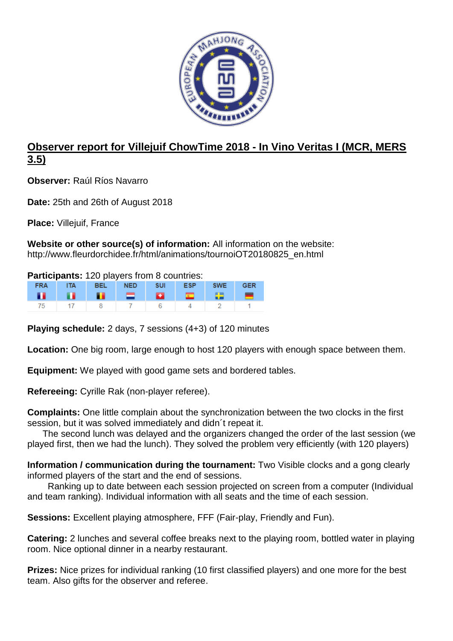

## **Observer report for Villejuif ChowTime 2018 - In Vino Veritas I (MCR, MERS 3.5)**

**Observer:** Raúl Ríos Navarro

**Date:** 25th and 26th of August 2018

**Place:** Villejuif, France

**Website or other source(s) of information:** All information on the website: http://www.fleurdorchidee.fr/html/animations/tournoiOT20180825\_en.html

**Participants:** 120 players from 8 countries:

|  |  | FRA ITA BEL NED SUI ESP SWE GER |  |  |
|--|--|---------------------------------|--|--|
|  |  |                                 |  |  |
|  |  | 75 17 8 7 6 4 2 1               |  |  |

**Playing schedule:** 2 days, 7 sessions (4+3) of 120 minutes

**Location:** One big room, large enough to host 120 players with enough space between them.

**Equipment:** We played with good game sets and bordered tables.

**Refereeing:** Cyrille Rak (non-player referee).

**Complaints:** One little complain about the synchronization between the two clocks in the first session, but it was solved immediately and didn´t repeat it.

 The second lunch was delayed and the organizers changed the order of the last session (we played first, then we had the lunch). They solved the problem very efficiently (with 120 players)

**Information / communication during the tournament:** Two Visible clocks and a gong clearly informed players of the start and the end of sessions.

 Ranking up to date between each session projected on screen from a computer (Individual and team ranking). Individual information with all seats and the time of each session.

**Sessions:** Excellent playing atmosphere, FFF (Fair-play, Friendly and Fun).

**Catering:** 2 lunches and several coffee breaks next to the playing room, bottled water in playing room. Nice optional dinner in a nearby restaurant.

**Prizes:** Nice prizes for individual ranking (10 first classified players) and one more for the best team. Also gifts for the observer and referee.